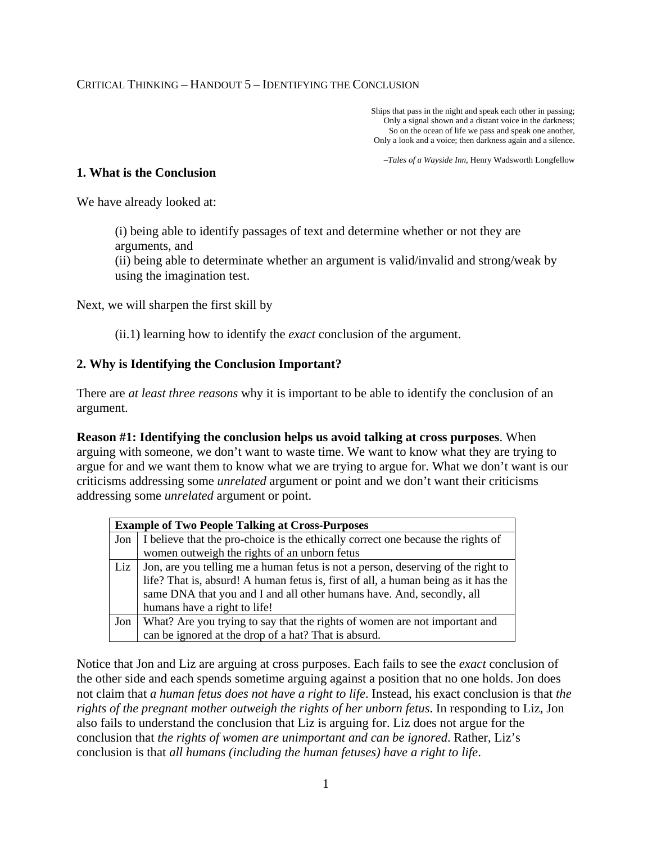Ships that pass in the night and speak each other in passing; Only a signal shown and a distant voice in the darkness; So on the ocean of life we pass and speak one another, Only a look and a voice; then darkness again and a silence.

–*Tales of a Wayside Inn*, Henry Wadsworth Longfellow

#### **1. What is the Conclusion**

We have already looked at:

(i) being able to identify passages of text and determine whether or not they are arguments, and

(ii) being able to determinate whether an argument is valid/invalid and strong/weak by using the imagination test.

Next, we will sharpen the first skill by

(ii.1) learning how to identify the *exact* conclusion of the argument.

## **2. Why is Identifying the Conclusion Important?**

There are *at least three reasons* why it is important to be able to identify the conclusion of an argument.

**Reason #1: Identifying the conclusion helps us avoid talking at cross purposes**. When arguing with someone, we don't want to waste time. We want to know what they are trying to argue for and we want them to know what we are trying to argue for. What we don't want is our criticisms addressing some *unrelated* argument or point and we don't want their criticisms addressing some *unrelated* argument or point.

| <b>Example of Two People Talking at Cross-Purposes</b> |                                                                                    |  |  |  |
|--------------------------------------------------------|------------------------------------------------------------------------------------|--|--|--|
| Jon                                                    | I believe that the pro-choice is the ethically correct one because the rights of   |  |  |  |
|                                                        | women outweigh the rights of an unborn fetus                                       |  |  |  |
| Liz                                                    | Jon, are you telling me a human fetus is not a person, deserving of the right to   |  |  |  |
|                                                        | life? That is, absurd! A human fetus is, first of all, a human being as it has the |  |  |  |
|                                                        | same DNA that you and I and all other humans have. And, secondly, all              |  |  |  |
|                                                        | humans have a right to life!                                                       |  |  |  |
| Jon                                                    | What? Are you trying to say that the rights of women are not important and         |  |  |  |
|                                                        | can be ignored at the drop of a hat? That is absurd.                               |  |  |  |

Notice that Jon and Liz are arguing at cross purposes. Each fails to see the *exact* conclusion of the other side and each spends sometime arguing against a position that no one holds. Jon does not claim that *a human fetus does not have a right to life*. Instead, his exact conclusion is that *the rights of the pregnant mother outweigh the rights of her unborn fetus*. In responding to Liz, Jon also fails to understand the conclusion that Liz is arguing for. Liz does not argue for the conclusion that *the rights of women are unimportant and can be ignored*. Rather, Liz's conclusion is that *all humans (including the human fetuses) have a right to life*.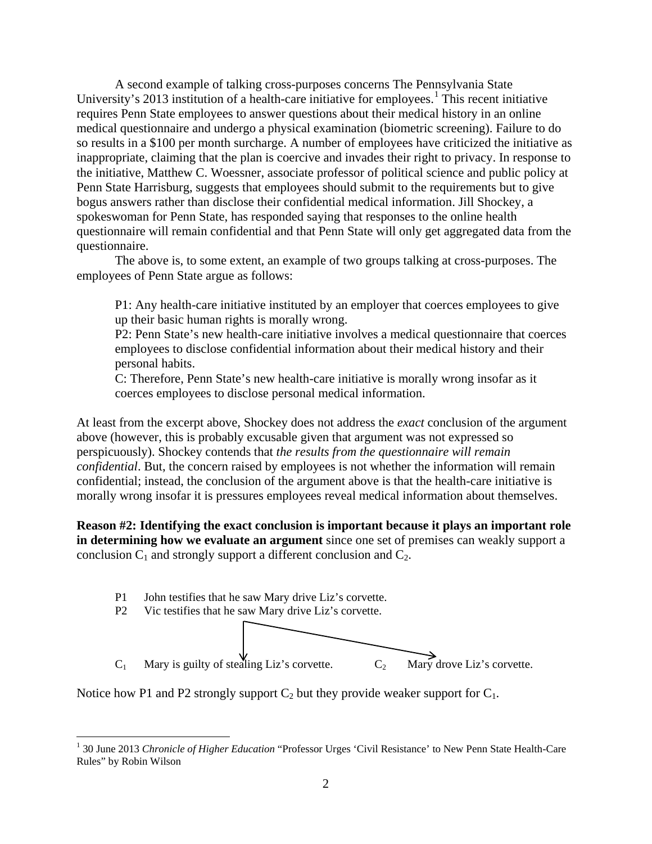A second example of talking cross-purposes concerns The Pennsylvania State University's 20[1](#page-1-0)3 institution of a health-care initiative for employees.<sup>1</sup> This recent initiative requires Penn State employees to answer questions about their medical history in an online medical questionnaire and undergo a physical examination (biometric screening). Failure to do so results in a \$100 per month surcharge. A number of employees have criticized the initiative as inappropriate, claiming that the plan is coercive and invades their right to privacy. In response to the initiative, Matthew C. Woessner, associate professor of political science and public policy at Penn State Harrisburg, suggests that employees should submit to the requirements but to give bogus answers rather than disclose their confidential medical information. Jill Shockey, a spokeswoman for Penn State, has responded saying that responses to the online health questionnaire will remain confidential and that Penn State will only get aggregated data from the questionnaire.

The above is, to some extent, an example of two groups talking at cross-purposes. The employees of Penn State argue as follows:

P1: Any health-care initiative instituted by an employer that coerces employees to give up their basic human rights is morally wrong.

P2: Penn State's new health-care initiative involves a medical questionnaire that coerces employees to disclose confidential information about their medical history and their personal habits.

C: Therefore, Penn State's new health-care initiative is morally wrong insofar as it coerces employees to disclose personal medical information.

At least from the excerpt above, Shockey does not address the *exact* conclusion of the argument above (however, this is probably excusable given that argument was not expressed so perspicuously). Shockey contends that *the results from the questionnaire will remain confidential*. But, the concern raised by employees is not whether the information will remain confidential; instead, the conclusion of the argument above is that the health-care initiative is morally wrong insofar it is pressures employees reveal medical information about themselves.

**Reason #2: Identifying the exact conclusion is important because it plays an important role in determining how we evaluate an argument** since one set of premises can weakly support a conclusion  $C_1$  and strongly support a different conclusion and  $C_2$ .





<span id="page-1-0"></span><sup>&</sup>lt;sup>1</sup> 30 June 2013 *Chronicle of Higher Education* "Professor Urges 'Civil Resistance' to New Penn State Health-Care Rules" by Robin Wilson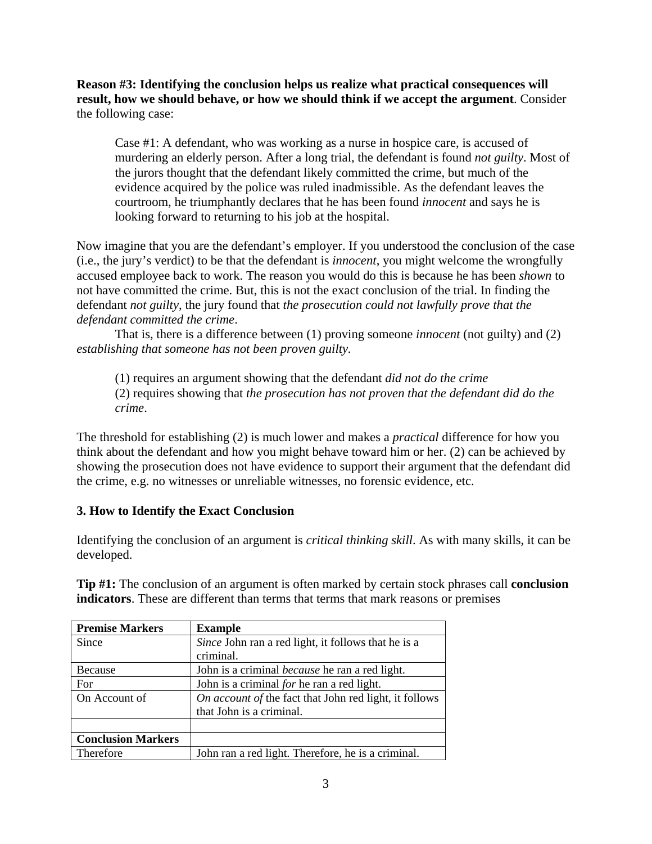**Reason #3: Identifying the conclusion helps us realize what practical consequences will result, how we should behave, or how we should think if we accept the argument**. Consider the following case:

Case #1: A defendant, who was working as a nurse in hospice care, is accused of murdering an elderly person. After a long trial, the defendant is found *not guilty*. Most of the jurors thought that the defendant likely committed the crime, but much of the evidence acquired by the police was ruled inadmissible. As the defendant leaves the courtroom, he triumphantly declares that he has been found *innocent* and says he is looking forward to returning to his job at the hospital.

Now imagine that you are the defendant's employer. If you understood the conclusion of the case (i.e., the jury's verdict) to be that the defendant is *innocent*, you might welcome the wrongfully accused employee back to work. The reason you would do this is because he has been *shown* to not have committed the crime. But, this is not the exact conclusion of the trial. In finding the defendant *not guilty*, the jury found that *the prosecution could not lawfully prove that the defendant committed the crime*.

That is, there is a difference between (1) proving someone *innocent* (not guilty) and (2) *establishing that someone has not been proven guilty.*

(1) requires an argument showing that the defendant *did not do the crime* (2) requires showing that *the prosecution has not proven that the defendant did do the crime*.

The threshold for establishing (2) is much lower and makes a *practical* difference for how you think about the defendant and how you might behave toward him or her. (2) can be achieved by showing the prosecution does not have evidence to support their argument that the defendant did the crime, e.g. no witnesses or unreliable witnesses, no forensic evidence, etc.

# **3. How to Identify the Exact Conclusion**

Identifying the conclusion of an argument is *critical thinking skill*. As with many skills, it can be developed.

**Tip #1:** The conclusion of an argument is often marked by certain stock phrases call **conclusion indicators**. These are different than terms that terms that mark reasons or premises

| <b>Premise Markers</b>    | <b>Example</b>                                         |
|---------------------------|--------------------------------------------------------|
| Since                     | Since John ran a red light, it follows that he is a    |
|                           | criminal.                                              |
| Because                   | John is a criminal <i>because</i> he ran a red light.  |
| For                       | John is a criminal for he ran a red light.             |
| On Account of             | On account of the fact that John red light, it follows |
|                           | that John is a criminal.                               |
|                           |                                                        |
| <b>Conclusion Markers</b> |                                                        |
| Therefore                 | John ran a red light. Therefore, he is a criminal.     |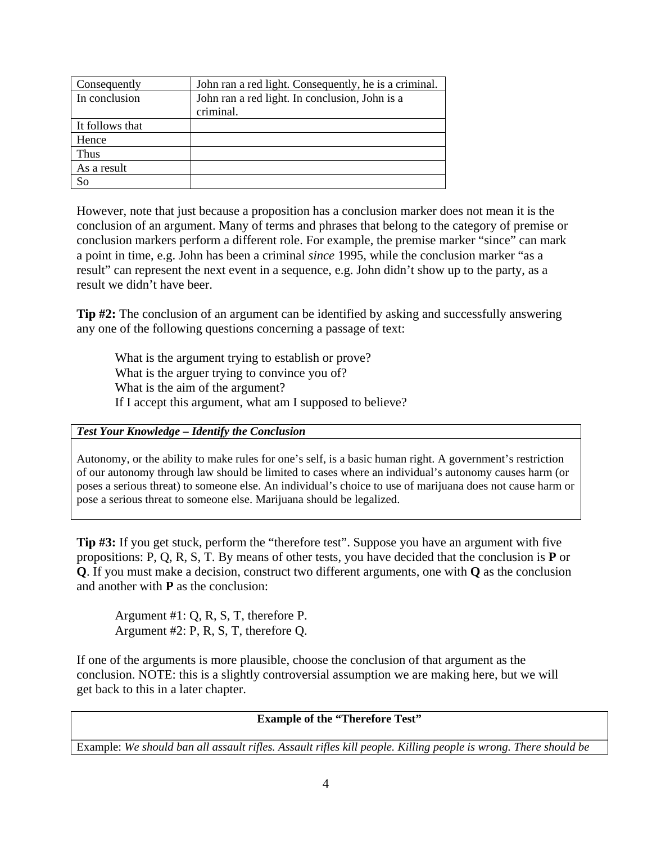| Consequently    | John ran a red light. Consequently, he is a criminal. |
|-----------------|-------------------------------------------------------|
| In conclusion   | John ran a red light. In conclusion, John is a        |
|                 | criminal.                                             |
| It follows that |                                                       |
| Hence           |                                                       |
| Thus            |                                                       |
| As a result     |                                                       |
| So              |                                                       |

However, note that just because a proposition has a conclusion marker does not mean it is the conclusion of an argument. Many of terms and phrases that belong to the category of premise or conclusion markers perform a different role. For example, the premise marker "since" can mark a point in time, e.g. John has been a criminal *since* 1995, while the conclusion marker "as a result" can represent the next event in a sequence, e.g. John didn't show up to the party, as a result we didn't have beer.

**Tip #2:** The conclusion of an argument can be identified by asking and successfully answering any one of the following questions concerning a passage of text:

What is the argument trying to establish or prove? What is the arguer trying to convince you of? What is the aim of the argument? If I accept this argument, what am I supposed to believe?

## *Test Your Knowledge – Identify the Conclusion*

Autonomy, or the ability to make rules for one's self, is a basic human right. A government's restriction of our autonomy through law should be limited to cases where an individual's autonomy causes harm (or poses a serious threat) to someone else. An individual's choice to use of marijuana does not cause harm or pose a serious threat to someone else. Marijuana should be legalized.

**Tip #3:** If you get stuck, perform the "therefore test". Suppose you have an argument with five propositions: P, Q, R, S, T. By means of other tests, you have decided that the conclusion is **P** or **Q**. If you must make a decision, construct two different arguments, one with **Q** as the conclusion and another with **P** as the conclusion:

Argument #1: Q, R, S, T, therefore P. Argument #2: P, R, S, T, therefore Q.

If one of the arguments is more plausible, choose the conclusion of that argument as the conclusion. NOTE: this is a slightly controversial assumption we are making here, but we will get back to this in a later chapter.

**Example of the "Therefore Test"**

Example: *We should ban all assault rifles. Assault rifles kill people. Killing people is wrong. There should be*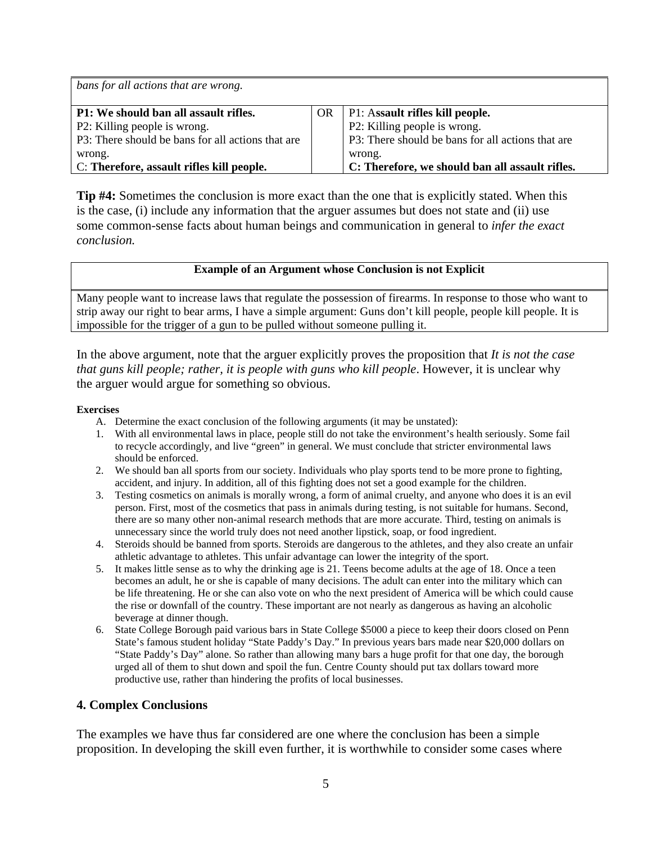| bans for all actions that are wrong.              |    |                                                   |  |  |  |
|---------------------------------------------------|----|---------------------------------------------------|--|--|--|
| P1: We should ban all assault rifles.             | OR | P1: Assault rifles kill people.                   |  |  |  |
| P2: Killing people is wrong.                      |    | P2: Killing people is wrong.                      |  |  |  |
| P3: There should be bans for all actions that are |    | P3: There should be bans for all actions that are |  |  |  |
| wrong.                                            |    | wrong.                                            |  |  |  |
| C: Therefore, assault rifles kill people.         |    | C: Therefore, we should ban all assault rifles.   |  |  |  |

**Tip #4:** Sometimes the conclusion is more exact than the one that is explicitly stated. When this is the case, (i) include any information that the arguer assumes but does not state and (ii) use some common-sense facts about human beings and communication in general to *infer the exact conclusion.*

## **Example of an Argument whose Conclusion is not Explicit**

Many people want to increase laws that regulate the possession of firearms. In response to those who want to strip away our right to bear arms, I have a simple argument: Guns don't kill people, people kill people. It is impossible for the trigger of a gun to be pulled without someone pulling it.

In the above argument, note that the arguer explicitly proves the proposition that *It is not the case that guns kill people; rather, it is people with guns who kill people*. However, it is unclear why the arguer would argue for something so obvious.

#### **Exercises**

- A. Determine the exact conclusion of the following arguments (it may be unstated):
- 1. With all environmental laws in place, people still do not take the environment's health seriously. Some fail to recycle accordingly, and live "green" in general. We must conclude that stricter environmental laws should be enforced.
- 2. We should ban all sports from our society. Individuals who play sports tend to be more prone to fighting, accident, and injury. In addition, all of this fighting does not set a good example for the children.
- 3. Testing cosmetics on animals is morally wrong, a form of animal cruelty, and anyone who does it is an evil person. First, most of the cosmetics that pass in animals during testing, is not suitable for humans. Second, there are so many other non-animal research methods that are more accurate. Third, testing on animals is unnecessary since the world truly does not need another lipstick, soap, or food ingredient.
- 4. Steroids should be banned from sports. Steroids are dangerous to the athletes, and they also create an unfair athletic advantage to athletes. This unfair advantage can lower the integrity of the sport.
- 5. It makes little sense as to why the drinking age is 21. Teens become adults at the age of 18. Once a teen becomes an adult, he or she is capable of many decisions. The adult can enter into the military which can be life threatening. He or she can also vote on who the next president of America will be which could cause the rise or downfall of the country. These important are not nearly as dangerous as having an alcoholic beverage at dinner though.
- 6. State College Borough paid various bars in State College \$5000 a piece to keep their doors closed on Penn State's famous student holiday "State Paddy's Day." In previous years bars made near \$20,000 dollars on "State Paddy's Day" alone. So rather than allowing many bars a huge profit for that one day, the borough urged all of them to shut down and spoil the fun. Centre County should put tax dollars toward more productive use, rather than hindering the profits of local businesses.

### **4. Complex Conclusions**

The examples we have thus far considered are one where the conclusion has been a simple proposition. In developing the skill even further, it is worthwhile to consider some cases where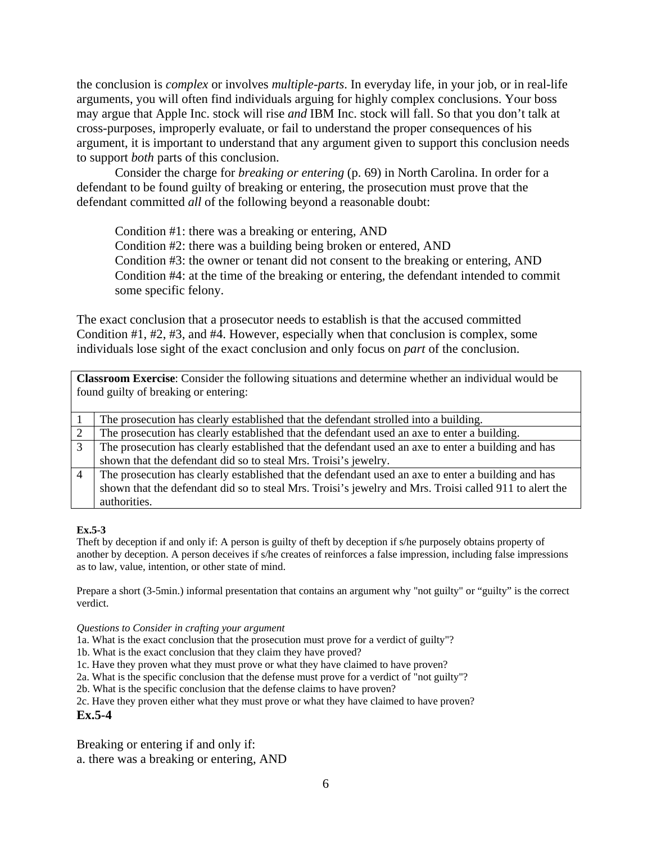the conclusion is *complex* or involves *multiple-parts*. In everyday life, in your job, or in real-life arguments, you will often find individuals arguing for highly complex conclusions. Your boss may argue that Apple Inc. stock will rise *and* IBM Inc. stock will fall. So that you don't talk at cross-purposes, improperly evaluate, or fail to understand the proper consequences of his argument, it is important to understand that any argument given to support this conclusion needs to support *both* parts of this conclusion.

Consider the charge for *breaking or entering* (p. 69) in North Carolina. In order for a defendant to be found guilty of breaking or entering, the prosecution must prove that the defendant committed *all* of the following beyond a reasonable doubt:

Condition #1: there was a breaking or entering, AND

Condition #2: there was a building being broken or entered, AND

Condition #3: the owner or tenant did not consent to the breaking or entering, AND Condition #4: at the time of the breaking or entering, the defendant intended to commit some specific felony.

The exact conclusion that a prosecutor needs to establish is that the accused committed Condition #1, #2, #3, and #4. However, especially when that conclusion is complex, some individuals lose sight of the exact conclusion and only focus on *part* of the conclusion.

| <b>Classroom Exercise:</b> Consider the following situations and determine whether an individual would be |                                                                                                        |  |  |  |
|-----------------------------------------------------------------------------------------------------------|--------------------------------------------------------------------------------------------------------|--|--|--|
| found guilty of breaking or entering:                                                                     |                                                                                                        |  |  |  |
|                                                                                                           |                                                                                                        |  |  |  |
|                                                                                                           | The prosecution has clearly established that the defendant strolled into a building.                   |  |  |  |
| 2                                                                                                         | The prosecution has clearly established that the defendant used an axe to enter a building.            |  |  |  |
| 3                                                                                                         | The prosecution has clearly established that the defendant used an axe to enter a building and has     |  |  |  |
|                                                                                                           | shown that the defendant did so to steal Mrs. Troisi's jewelry.                                        |  |  |  |
| $\overline{4}$                                                                                            | The prosecution has clearly established that the defendant used an axe to enter a building and has     |  |  |  |
|                                                                                                           | shown that the defendant did so to steal Mrs. Troisi's jewelry and Mrs. Troisi called 911 to alert the |  |  |  |
|                                                                                                           | authorities.                                                                                           |  |  |  |

### **Ex.5-3**

Theft by deception if and only if: A person is guilty of theft by deception if s/he purposely obtains property of another by deception. A person deceives if s/he creates of reinforces a false impression, including false impressions as to law, value, intention, or other state of mind.

Prepare a short (3-5min.) informal presentation that contains an argument why "not guilty" or "guilty" is the correct verdict.

#### *Questions to Consider in crafting your argument*

1a. What is the exact conclusion that the prosecution must prove for a verdict of guilty"?

1b. What is the exact conclusion that they claim they have proved?

1c. Have they proven what they must prove or what they have claimed to have proven?

2a. What is the specific conclusion that the defense must prove for a verdict of "not guilty"?

2b. What is the specific conclusion that the defense claims to have proven?

2c. Have they proven either what they must prove or what they have claimed to have proven?

**Ex.5-4**

Breaking or entering if and only if:

a. there was a breaking or entering, AND